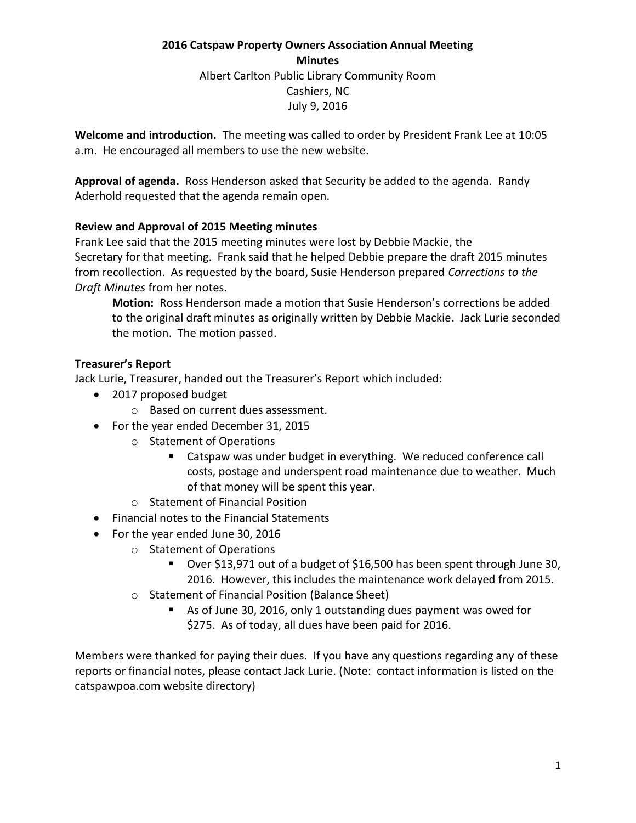# **2016 Catspaw Property Owners Association Annual Meeting Minutes** Albert Carlton Public Library Community Room Cashiers, NC July 9, 2016

**Welcome and introduction.** The meeting was called to order by President Frank Lee at 10:05 a.m. He encouraged all members to use the new website.

**Approval of agenda.** Ross Henderson asked that Security be added to the agenda. Randy Aderhold requested that the agenda remain open.

# **Review and Approval of 2015 Meeting minutes**

Frank Lee said that the 2015 meeting minutes were lost by Debbie Mackie, the Secretary for that meeting. Frank said that he helped Debbie prepare the draft 2015 minutes from recollection. As requested by the board, Susie Henderson prepared *Corrections to the Draft Minutes* from her notes.

**Motion:** Ross Henderson made a motion that Susie Henderson's corrections be added to the original draft minutes as originally written by Debbie Mackie. Jack Lurie seconded the motion. The motion passed.

## **Treasurer's Report**

Jack Lurie, Treasurer, handed out the Treasurer's Report which included:

- 2017 proposed budget
	- o Based on current dues assessment.
- For the year ended December 31, 2015
	- o Statement of Operations
		- Catspaw was under budget in everything. We reduced conference call costs, postage and underspent road maintenance due to weather. Much of that money will be spent this year.
	- o Statement of Financial Position
- Financial notes to the Financial Statements
- For the year ended June 30, 2016
	- o Statement of Operations
		- Over \$13,971 out of a budget of \$16,500 has been spent through June 30, 2016. However, this includes the maintenance work delayed from 2015.
	- o Statement of Financial Position (Balance Sheet)
		- As of June 30, 2016, only 1 outstanding dues payment was owed for \$275. As of today, all dues have been paid for 2016.

Members were thanked for paying their dues. If you have any questions regarding any of these reports or financial notes, please contact Jack Lurie. (Note: contact information is listed on the catspawpoa.com website directory)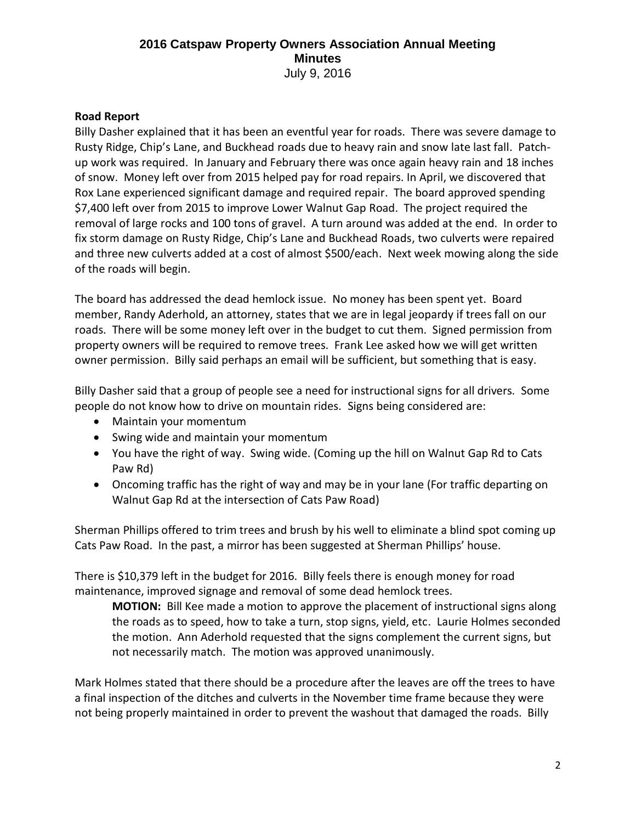#### **Road Report**

Billy Dasher explained that it has been an eventful year for roads. There was severe damage to Rusty Ridge, Chip's Lane, and Buckhead roads due to heavy rain and snow late last fall. Patchup work was required. In January and February there was once again heavy rain and 18 inches of snow. Money left over from 2015 helped pay for road repairs. In April, we discovered that Rox Lane experienced significant damage and required repair. The board approved spending \$7,400 left over from 2015 to improve Lower Walnut Gap Road. The project required the removal of large rocks and 100 tons of gravel. A turn around was added at the end. In order to fix storm damage on Rusty Ridge, Chip's Lane and Buckhead Roads, two culverts were repaired and three new culverts added at a cost of almost \$500/each. Next week mowing along the side of the roads will begin.

The board has addressed the dead hemlock issue. No money has been spent yet. Board member, Randy Aderhold, an attorney, states that we are in legal jeopardy if trees fall on our roads. There will be some money left over in the budget to cut them. Signed permission from property owners will be required to remove trees. Frank Lee asked how we will get written owner permission. Billy said perhaps an email will be sufficient, but something that is easy.

Billy Dasher said that a group of people see a need for instructional signs for all drivers. Some people do not know how to drive on mountain rides. Signs being considered are:

- Maintain your momentum
- Swing wide and maintain your momentum
- You have the right of way. Swing wide. (Coming up the hill on Walnut Gap Rd to Cats Paw Rd)
- Oncoming traffic has the right of way and may be in your lane (For traffic departing on Walnut Gap Rd at the intersection of Cats Paw Road)

Sherman Phillips offered to trim trees and brush by his well to eliminate a blind spot coming up Cats Paw Road. In the past, a mirror has been suggested at Sherman Phillips' house.

There is \$10,379 left in the budget for 2016. Billy feels there is enough money for road maintenance, improved signage and removal of some dead hemlock trees.

**MOTION:** Bill Kee made a motion to approve the placement of instructional signs along the roads as to speed, how to take a turn, stop signs, yield, etc. Laurie Holmes seconded the motion. Ann Aderhold requested that the signs complement the current signs, but not necessarily match. The motion was approved unanimously.

Mark Holmes stated that there should be a procedure after the leaves are off the trees to have a final inspection of the ditches and culverts in the November time frame because they were not being properly maintained in order to prevent the washout that damaged the roads. Billy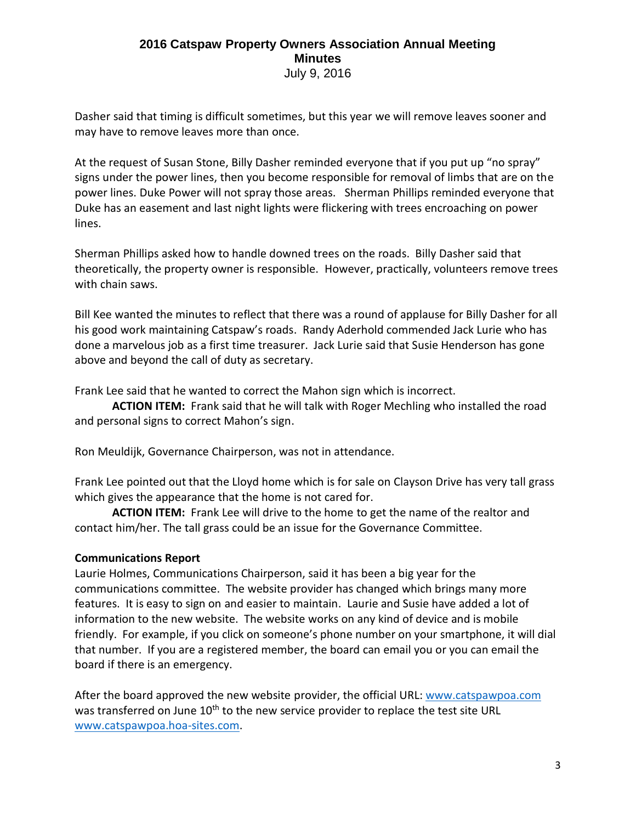Dasher said that timing is difficult sometimes, but this year we will remove leaves sooner and may have to remove leaves more than once.

At the request of Susan Stone, Billy Dasher reminded everyone that if you put up "no spray" signs under the power lines, then you become responsible for removal of limbs that are on the power lines. Duke Power will not spray those areas. Sherman Phillips reminded everyone that Duke has an easement and last night lights were flickering with trees encroaching on power lines.

Sherman Phillips asked how to handle downed trees on the roads. Billy Dasher said that theoretically, the property owner is responsible. However, practically, volunteers remove trees with chain saws.

Bill Kee wanted the minutes to reflect that there was a round of applause for Billy Dasher for all his good work maintaining Catspaw's roads. Randy Aderhold commended Jack Lurie who has done a marvelous job as a first time treasurer. Jack Lurie said that Susie Henderson has gone above and beyond the call of duty as secretary.

Frank Lee said that he wanted to correct the Mahon sign which is incorrect.

**ACTION ITEM:** Frank said that he will talk with Roger Mechling who installed the road and personal signs to correct Mahon's sign.

Ron Meuldijk, Governance Chairperson, was not in attendance.

Frank Lee pointed out that the Lloyd home which is for sale on Clayson Drive has very tall grass which gives the appearance that the home is not cared for.

**ACTION ITEM:** Frank Lee will drive to the home to get the name of the realtor and contact him/her. The tall grass could be an issue for the Governance Committee.

# **Communications Report**

Laurie Holmes, Communications Chairperson, said it has been a big year for the communications committee. The website provider has changed which brings many more features. It is easy to sign on and easier to maintain. Laurie and Susie have added a lot of information to the new website. The website works on any kind of device and is mobile friendly. For example, if you click on someone's phone number on your smartphone, it will dial that number. If you are a registered member, the board can email you or you can email the board if there is an emergency.

After the board approved the new website provider, the official URL[: www.catspawpoa.com](http://www.catspawpoa.com/) was transferred on June 10<sup>th</sup> to the new service provider to replace the test site URL [www.catspawpoa.hoa-sites.com.](http://www.catspawpoa.hoa-sites.com/)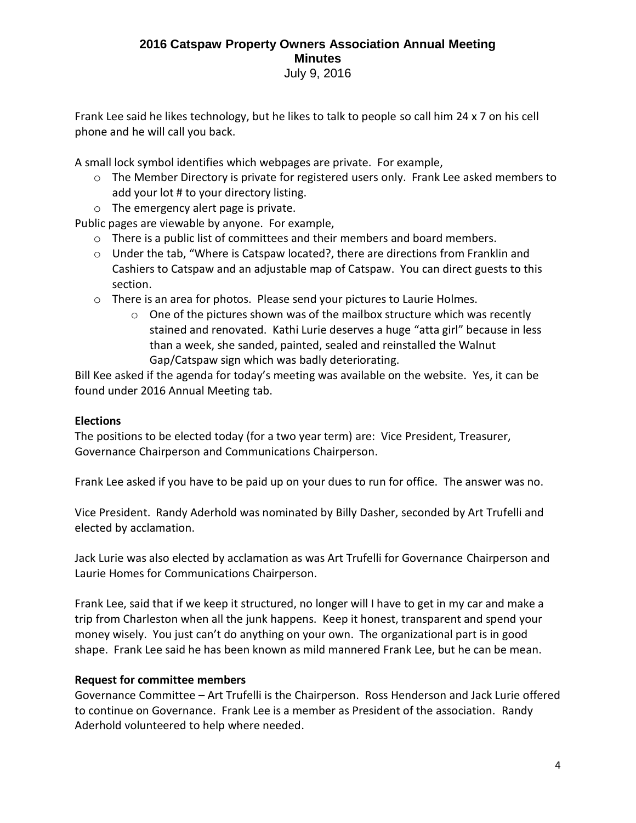Frank Lee said he likes technology, but he likes to talk to people so call him 24 x 7 on his cell phone and he will call you back.

A small lock symbol identifies which webpages are private. For example,

- $\circ$  The Member Directory is private for registered users only. Frank Lee asked members to add your lot # to your directory listing.
- o The emergency alert page is private.

Public pages are viewable by anyone. For example,

- $\circ$  There is a public list of committees and their members and board members.
- o Under the tab, "Where is Catspaw located?, there are directions from Franklin and Cashiers to Catspaw and an adjustable map of Catspaw. You can direct guests to this section.
- o There is an area for photos. Please send your pictures to Laurie Holmes.
	- $\circ$  One of the pictures shown was of the mailbox structure which was recently stained and renovated. Kathi Lurie deserves a huge "atta girl" because in less than a week, she sanded, painted, sealed and reinstalled the Walnut Gap/Catspaw sign which was badly deteriorating.

Bill Kee asked if the agenda for today's meeting was available on the website. Yes, it can be found under 2016 Annual Meeting tab.

#### **Elections**

The positions to be elected today (for a two year term) are: Vice President, Treasurer, Governance Chairperson and Communications Chairperson.

Frank Lee asked if you have to be paid up on your dues to run for office. The answer was no.

Vice President. Randy Aderhold was nominated by Billy Dasher, seconded by Art Trufelli and elected by acclamation.

Jack Lurie was also elected by acclamation as was Art Trufelli for Governance Chairperson and Laurie Homes for Communications Chairperson.

Frank Lee, said that if we keep it structured, no longer will I have to get in my car and make a trip from Charleston when all the junk happens. Keep it honest, transparent and spend your money wisely. You just can't do anything on your own. The organizational part is in good shape. Frank Lee said he has been known as mild mannered Frank Lee, but he can be mean.

#### **Request for committee members**

Governance Committee – Art Trufelli is the Chairperson. Ross Henderson and Jack Lurie offered to continue on Governance. Frank Lee is a member as President of the association. Randy Aderhold volunteered to help where needed.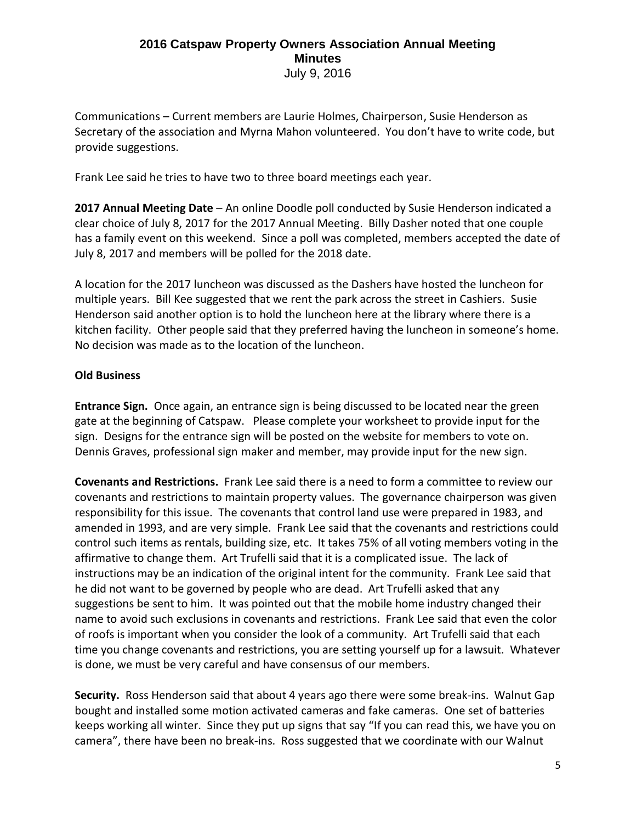Communications – Current members are Laurie Holmes, Chairperson, Susie Henderson as Secretary of the association and Myrna Mahon volunteered. You don't have to write code, but provide suggestions.

Frank Lee said he tries to have two to three board meetings each year.

**2017 Annual Meeting Date** – An online Doodle poll conducted by Susie Henderson indicated a clear choice of July 8, 2017 for the 2017 Annual Meeting. Billy Dasher noted that one couple has a family event on this weekend. Since a poll was completed, members accepted the date of July 8, 2017 and members will be polled for the 2018 date.

A location for the 2017 luncheon was discussed as the Dashers have hosted the luncheon for multiple years. Bill Kee suggested that we rent the park across the street in Cashiers. Susie Henderson said another option is to hold the luncheon here at the library where there is a kitchen facility. Other people said that they preferred having the luncheon in someone's home. No decision was made as to the location of the luncheon.

# **Old Business**

**Entrance Sign.** Once again, an entrance sign is being discussed to be located near the green gate at the beginning of Catspaw. Please complete your worksheet to provide input for the sign. Designs for the entrance sign will be posted on the website for members to vote on. Dennis Graves, professional sign maker and member, may provide input for the new sign.

**Covenants and Restrictions.** Frank Lee said there is a need to form a committee to review our covenants and restrictions to maintain property values. The governance chairperson was given responsibility for this issue. The covenants that control land use were prepared in 1983, and amended in 1993, and are very simple. Frank Lee said that the covenants and restrictions could control such items as rentals, building size, etc. It takes 75% of all voting members voting in the affirmative to change them. Art Trufelli said that it is a complicated issue. The lack of instructions may be an indication of the original intent for the community. Frank Lee said that he did not want to be governed by people who are dead. Art Trufelli asked that any suggestions be sent to him. It was pointed out that the mobile home industry changed their name to avoid such exclusions in covenants and restrictions. Frank Lee said that even the color of roofs is important when you consider the look of a community. Art Trufelli said that each time you change covenants and restrictions, you are setting yourself up for a lawsuit. Whatever is done, we must be very careful and have consensus of our members.

**Security.** Ross Henderson said that about 4 years ago there were some break-ins. Walnut Gap bought and installed some motion activated cameras and fake cameras. One set of batteries keeps working all winter. Since they put up signs that say "If you can read this, we have you on camera", there have been no break-ins. Ross suggested that we coordinate with our Walnut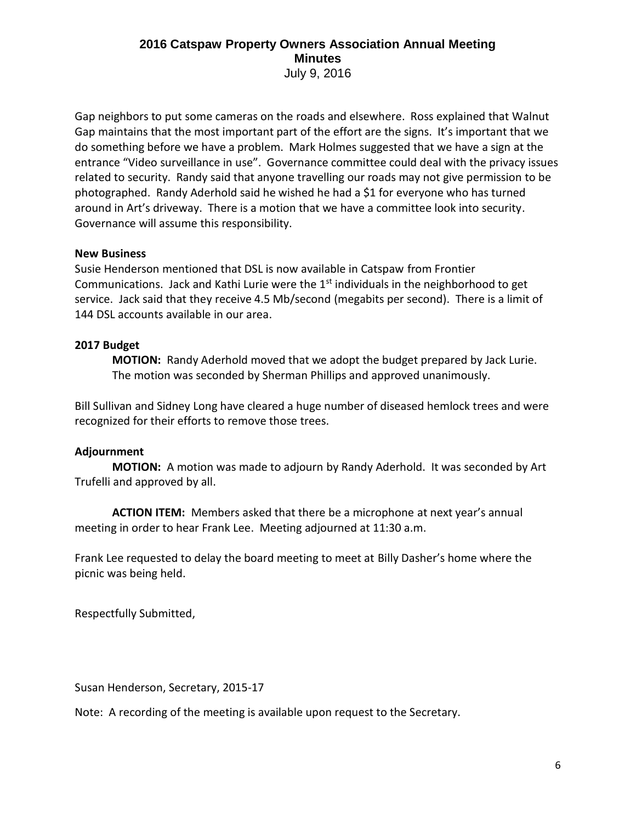Gap neighbors to put some cameras on the roads and elsewhere. Ross explained that Walnut Gap maintains that the most important part of the effort are the signs. It's important that we do something before we have a problem. Mark Holmes suggested that we have a sign at the entrance "Video surveillance in use". Governance committee could deal with the privacy issues related to security. Randy said that anyone travelling our roads may not give permission to be photographed. Randy Aderhold said he wished he had a \$1 for everyone who has turned around in Art's driveway. There is a motion that we have a committee look into security. Governance will assume this responsibility.

#### **New Business**

Susie Henderson mentioned that DSL is now available in Catspaw from Frontier Communications. Jack and Kathi Lurie were the  $1<sup>st</sup>$  individuals in the neighborhood to get service. Jack said that they receive 4.5 Mb/second (megabits per second). There is a limit of 144 DSL accounts available in our area.

## **2017 Budget**

**MOTION:** Randy Aderhold moved that we adopt the budget prepared by Jack Lurie. The motion was seconded by Sherman Phillips and approved unanimously.

Bill Sullivan and Sidney Long have cleared a huge number of diseased hemlock trees and were recognized for their efforts to remove those trees.

# **Adjournment**

**MOTION:** A motion was made to adjourn by Randy Aderhold. It was seconded by Art Trufelli and approved by all.

**ACTION ITEM:** Members asked that there be a microphone at next year's annual meeting in order to hear Frank Lee. Meeting adjourned at 11:30 a.m.

Frank Lee requested to delay the board meeting to meet at Billy Dasher's home where the picnic was being held.

Respectfully Submitted,

Susan Henderson, Secretary, 2015-17

Note: A recording of the meeting is available upon request to the Secretary.